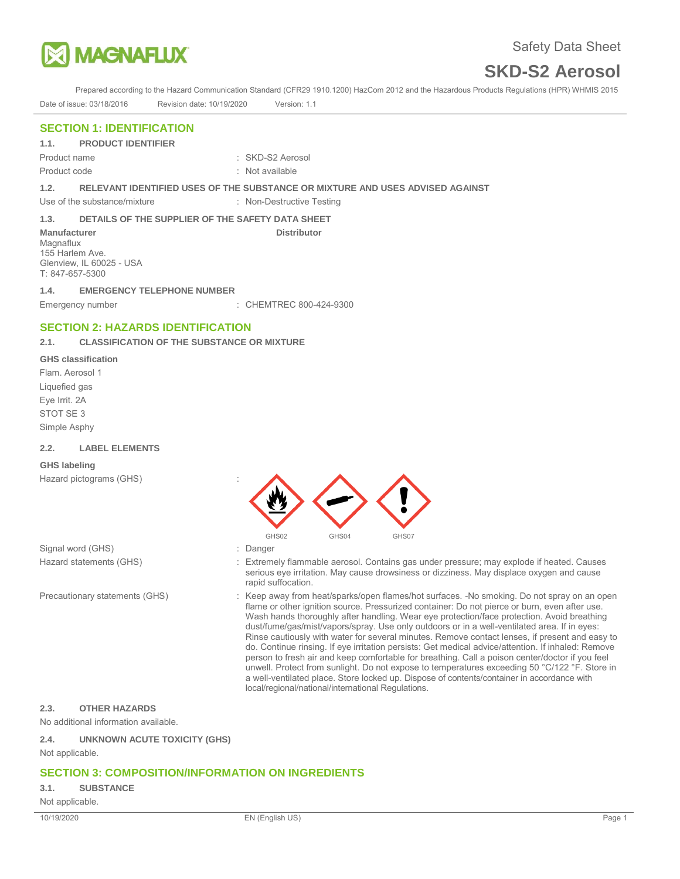

Prepared according to the Hazard Communication Standard (CFR29 1910.1200) HazCom 2012 and the Hazardous Products Regulations (HPR) WHMIS 2015 Date of issue: 03/18/2016 Revision date: 10/19/2020 Version: 1.1

# **SECTION 1: IDENTIFICATION**

**1.1. PRODUCT IDENTIFIER** 

Product code : Not available

Product name : SKD-S2 Aerosol

**1.2. RELEVANT IDENTIFIED USES OF THE SUBSTANCE OR MIXTURE AND USES ADVISED AGAINST** 

Use of the substance/mixture : Non-Destructive Testing

## **1.3. DETAILS OF THE SUPPLIER OF THE SAFETY DATA SHEET**

**Manufacturer Community Community Community Community Distributor** Distributor Magnaflux 155 Harlem Ave. Glenview, IL 60025 - USA T: 847-657-5300

## **1.4. EMERGENCY TELEPHONE NUMBER**

Emergency number : CHEMTREC 800-424-9300

# **SECTION 2: HAZARDS IDENTIFICATION**

# **2.1. CLASSIFICATION OF THE SUBSTANCE OR MIXTURE**

#### **GHS classification**

Flam. Aerosol 1 Liquefied gas Eye Irrit. 2A STOT SE 3 Simple Asphy

#### **2.2. LABEL ELEMENTS**

#### **GHS labeling**

Hazard pictograms (GHS) :



- Signal word (GHS)  $\qquad \qquad$ : Danger
- 

- Hazard statements (GHS) : Extremely flammable aerosol. Contains gas under pressure; may explode if heated. Causes serious eye irritation. May cause drowsiness or dizziness. May displace oxygen and cause rapid suffocation.
- Precautionary statements (GHS) : Keep away from heat/sparks/open flames/hot surfaces. -No smoking. Do not spray on an open flame or other ignition source. Pressurized container: Do not pierce or burn, even after use. Wash hands thoroughly after handling. Wear eye protection/face protection. Avoid breathing dust/fume/gas/mist/vapors/spray. Use only outdoors or in a well-ventilated area. If in eyes: Rinse cautiously with water for several minutes. Remove contact lenses, if present and easy to do. Continue rinsing. If eye irritation persists: Get medical advice/attention. If inhaled: Remove person to fresh air and keep comfortable for breathing. Call a poison center/doctor if you feel unwell. Protect from sunlight. Do not expose to temperatures exceeding 50 °C/122 °F. Store in a well-ventilated place. Store locked up. Dispose of contents/container in accordance with local/regional/national/international Regulations.

## **2.3. OTHER HAZARDS**

No additional information available.

## **2.4. UNKNOWN ACUTE TOXICITY (GHS)**

Not applicable.

# **SECTION 3: COMPOSITION/INFORMATION ON INGREDIENTS**

#### **3.1. SUBSTANCE**

Not applicable.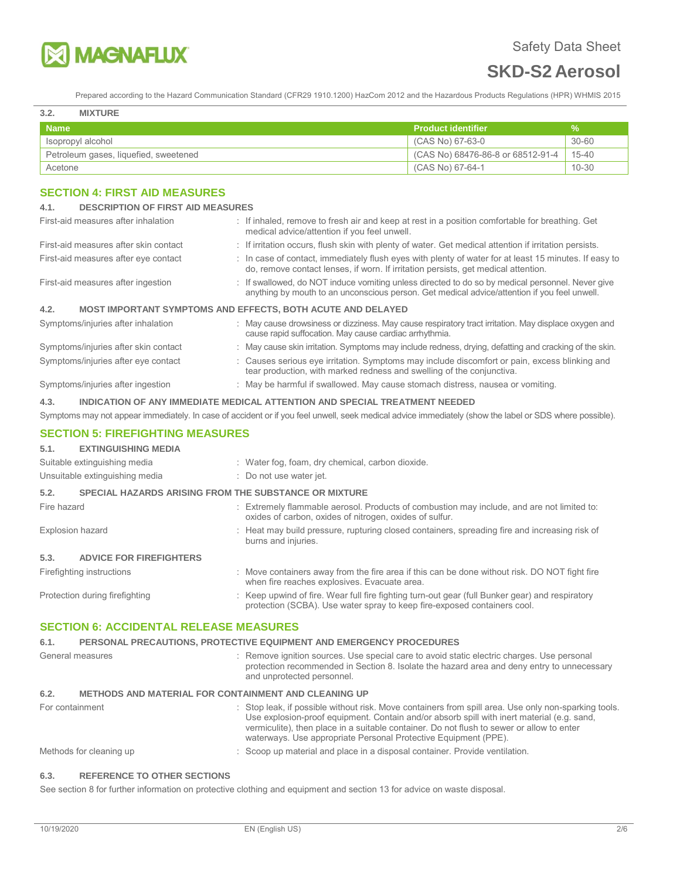

Prepared according to the Hazard Communication Standard (CFR29 1910.1200) HazCom 2012 and the Hazardous Products Regulations (HPR) WHMIS 2015

#### **3.2. MIXTURE**

| -----                                 |                                   |           |
|---------------------------------------|-----------------------------------|-----------|
| <b>Name</b>                           | <b>Product identifier</b>         | ℅         |
| sopropyl alcohol                      | (CAS No) 67-63-0                  | $30 - 60$ |
| Petroleum gases, liquefied, sweetened | (CAS No) 68476-86-8 or 68512-91-4 | 15-40     |
| Acetone                               | (CAS No) 67-64-1                  | $10 - 30$ |

# **SECTION 4: FIRST AID MEASURES**

| 4.1.                                                                               | <b>DESCRIPTION OF FIRST AID MEASURES</b>                                                                                                                                                         |  |  |
|------------------------------------------------------------------------------------|--------------------------------------------------------------------------------------------------------------------------------------------------------------------------------------------------|--|--|
| First-aid measures after inhalation                                                | : If inhaled, remove to fresh air and keep at rest in a position comfortable for breathing. Get<br>medical advice/attention if you feel unwell.                                                  |  |  |
| First-aid measures after skin contact                                              | : If irritation occurs, flush skin with plenty of water. Get medical attention if irritation persists.                                                                                           |  |  |
| First-aid measures after eye contact                                               | : In case of contact, immediately flush eyes with plenty of water for at least 15 minutes. If easy to<br>do, remove contact lenses, if worn. If irritation persists, get medical attention.      |  |  |
| First-aid measures after ingestion                                                 | : If swallowed, do NOT induce vomiting unless directed to do so by medical personnel. Never give<br>anything by mouth to an unconscious person. Get medical advice/attention if you feel unwell. |  |  |
| 4.2.<br><b>MOST IMPORTANT SYMPTOMS AND EFFECTS, BOTH ACUTE AND DELAYED</b>         |                                                                                                                                                                                                  |  |  |
| Symptoms/injuries after inhalation                                                 | : May cause drowsiness or dizziness. May cause respiratory tract irritation. May displace oxygen and<br>cause rapid suffocation. May cause cardiac arrhythmia.                                   |  |  |
| Symptoms/injuries after skin contact                                               | : May cause skin irritation. Symptoms may include redness, drying, defatting and cracking of the skin.                                                                                           |  |  |
| Symptoms/injuries after eye contact                                                | : Causes serious eye irritation. Symptoms may include discomfort or pain, excess blinking and<br>tear production, with marked redness and swelling of the conjunctiva.                           |  |  |
| Symptoms/injuries after ingestion                                                  | : May be harmful if swallowed. May cause stomach distress, nausea or vomiting.                                                                                                                   |  |  |
| 4.3.<br>INDICATION OF ANY IMMEDIATE MEDICAL ATTENTION AND SPECIAL TREATMENT NEEDED |                                                                                                                                                                                                  |  |  |

Symptoms may not appear immediately. In case of accident or if you feel unwell, seek medical advice immediately (show the label or SDS where possible).

## **SECTION 5: FIREFIGHTING MEASURES**

# **5.1. EXTINGUISHING MEDIA**

|                         | Suitable extinguishing media                                 |  | : Water fog, foam, dry chemical, carbon dioxide.                                                                                                                            |
|-------------------------|--------------------------------------------------------------|--|-----------------------------------------------------------------------------------------------------------------------------------------------------------------------------|
|                         | Unsuitable extinguishing media                               |  | : Do not use water jet.                                                                                                                                                     |
| 5.2.                    | <b>SPECIAL HAZARDS ARISING FROM THE SUBSTANCE OR MIXTURE</b> |  |                                                                                                                                                                             |
| Fire hazard             |                                                              |  | : Extremely flammable aerosol. Products of combustion may include, and are not limited to:<br>oxides of carbon, oxides of nitrogen, oxides of sulfur.                       |
| <b>Explosion hazard</b> |                                                              |  | : Heat may build pressure, rupturing closed containers, spreading fire and increasing risk of<br>burns and injuries.                                                        |
| 5.3.                    | <b>ADVICE FOR FIREFIGHTERS</b>                               |  |                                                                                                                                                                             |
|                         | Firefighting instructions                                    |  | : Move containers away from the fire area if this can be done without risk. DO NOT fight fire<br>when fire reaches explosives. Evacuate area.                               |
|                         | Protection during firefighting                               |  | : Keep upwind of fire. Wear full fire fighting turn-out gear (full Bunker gear) and respiratory<br>protection (SCBA). Use water spray to keep fire-exposed containers cool. |

# **SECTION 6: ACCIDENTAL RELEASE MEASURES**

## **6.1. PERSONAL PRECAUTIONS, PROTECTIVE EQUIPMENT AND EMERGENCY PROCEDURES**  General measures **interpretation** : Remove ignition sources. Use special care to avoid static electric charges. Use personal protection recommended in Section 8. Isolate the hazard area and deny entry to unnecessary and unprotected personnel. **6.2. METHODS AND MATERIAL FOR CONTAINMENT AND CLEANING UP**  For containment **interpret and the state of the Stop leak**, if possible without risk. Move containers from spill area. Use only non-sparking tools. Use explosion-proof equipment. Contain and/or absorb spill with inert material (e.g. sand, vermiculite), then place in a suitable container. Do not flush to sewer or allow to enter waterways. Use appropriate Personal Protective Equipment (PPE). Methods for cleaning up  $\qquad \qquad$ : Scoop up material and place in a disposal container. Provide ventilation.

#### **6.3. REFERENCE TO OTHER SECTIONS**

See section 8 for further information on protective clothing and equipment and section 13 for advice on waste disposal.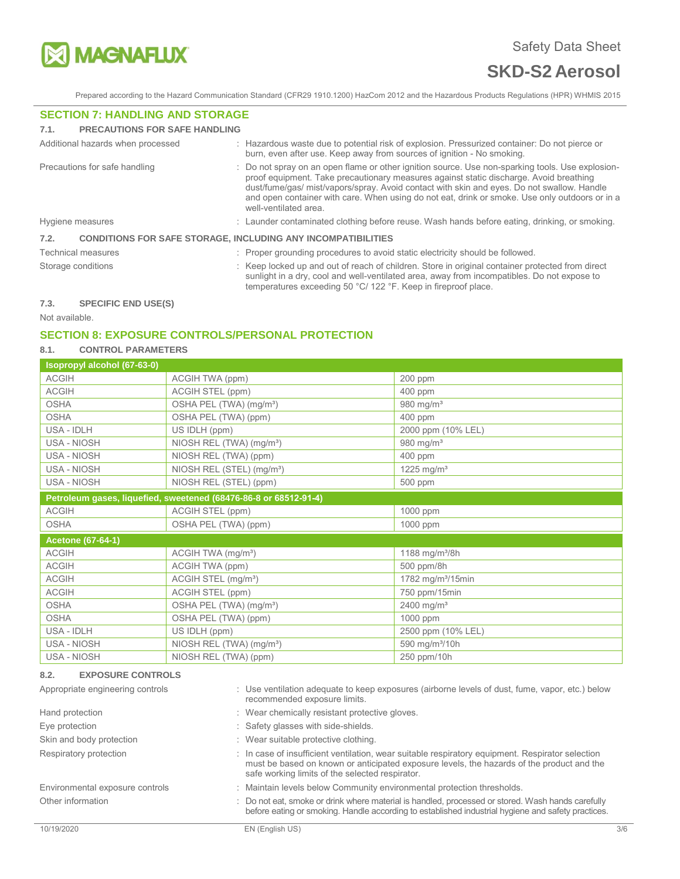

Prepared according to the Hazard Communication Standard (CFR29 1910.1200) HazCom 2012 and the Hazardous Products Regulations (HPR) WHMIS 2015

## **SECTION 7: HANDLING AND STORAGE**

#### **7.1. PRECAUTIONS FOR SAFE HANDLING**

|                    | Additional hazards when processed                                   |  | : Hazardous waste due to potential risk of explosion. Pressurized container: Do not pierce or<br>burn, even after use. Keep away from sources of ignition - No smoking.                                                                                                                                                                                                                                             |
|--------------------|---------------------------------------------------------------------|--|---------------------------------------------------------------------------------------------------------------------------------------------------------------------------------------------------------------------------------------------------------------------------------------------------------------------------------------------------------------------------------------------------------------------|
|                    | Precautions for safe handling                                       |  | : Do not spray on an open flame or other ignition source. Use non-sparking tools. Use explosion-<br>proof equipment. Take precautionary measures against static discharge. Avoid breathing<br>dust/fume/gas/ mist/vapors/spray. Avoid contact with skin and eyes. Do not swallow. Handle<br>and open container with care. When using do not eat, drink or smoke. Use only outdoors or in a<br>well-ventilated area. |
| Hygiene measures   |                                                                     |  | : Launder contaminated clothing before reuse. Wash hands before eating, drinking, or smoking.                                                                                                                                                                                                                                                                                                                       |
| 7.2.               | <b>CONDITIONS FOR SAFE STORAGE, INCLUDING ANY INCOMPATIBILITIES</b> |  |                                                                                                                                                                                                                                                                                                                                                                                                                     |
|                    | <b>Technical measures</b>                                           |  | : Proper grounding procedures to avoid static electricity should be followed.                                                                                                                                                                                                                                                                                                                                       |
| Storage conditions |                                                                     |  | : Keep locked up and out of reach of children. Store in original container protected from direct<br>sunlight in a dry, cool and well-ventilated area, away from incompatibles. Do not expose to<br>temperatures exceeding 50 °C/ 122 °F. Keep in fireproof place.                                                                                                                                                   |
| 72                 | CDECIEIC END LICE/C)                                                |  |                                                                                                                                                                                                                                                                                                                                                                                                                     |

#### **7.3. SPECIFIC END USE(S)**

Not available.

# **SECTION 8: EXPOSURE CONTROLS/PERSONAL PROTECTION**

# **8.1. CONTROL PARAMETERS**

| Isopropyl alcohol (67-63-0) |                                                                  |                               |
|-----------------------------|------------------------------------------------------------------|-------------------------------|
| <b>ACGIH</b>                | ACGIH TWA (ppm)                                                  | 200 ppm                       |
| <b>ACGIH</b>                | ACGIH STEL (ppm)                                                 | 400 ppm                       |
| <b>OSHA</b>                 | OSHA PEL (TWA) (mg/m <sup>3</sup> )                              | 980 mg/m <sup>3</sup>         |
| <b>OSHA</b>                 | OSHA PEL (TWA) (ppm)                                             | 400 ppm                       |
| USA - IDLH                  | US IDLH (ppm)                                                    | 2000 ppm (10% LEL)            |
| USA - NIOSH                 | NIOSH REL (TWA) (mg/m <sup>3</sup> )                             | 980 mg/m <sup>3</sup>         |
| USA - NIOSH                 | NIOSH REL (TWA) (ppm)                                            | 400 ppm                       |
| USA - NIOSH                 | NIOSH REL (STEL) (mg/m <sup>3</sup> )                            | 1225 mg/m <sup>3</sup>        |
| USA - NIOSH                 | NIOSH REL (STEL) (ppm)                                           | 500 ppm                       |
|                             | Petroleum gases, liquefied, sweetened (68476-86-8 or 68512-91-4) |                               |
| <b>ACGIH</b>                | ACGIH STEL (ppm)                                                 | 1000 ppm                      |
| <b>OSHA</b>                 | OSHA PEL (TWA) (ppm)                                             | 1000 ppm                      |
| <b>Acetone (67-64-1)</b>    |                                                                  |                               |
| <b>ACGIH</b>                | ACGIH TWA (mg/m <sup>3</sup> )                                   | 1188 mg/m <sup>3</sup> /8h    |
| <b>ACGIH</b>                | ACGIH TWA (ppm)                                                  | 500 ppm/8h                    |
| <b>ACGIH</b>                | ACGIH STEL (mg/m <sup>3</sup> )                                  | 1782 mg/m <sup>3</sup> /15min |
| <b>ACGIH</b>                | ACGIH STEL (ppm)                                                 | 750 ppm/15min                 |
| <b>OSHA</b>                 | OSHA PEL (TWA) (mg/m <sup>3</sup> )                              | 2400 mg/m <sup>3</sup>        |
| <b>OSHA</b>                 | OSHA PEL (TWA) (ppm)                                             | 1000 ppm                      |
| USA - IDLH                  | US IDLH (ppm)                                                    | 2500 ppm (10% LEL)            |
| USA - NIOSH                 | NIOSH REL (TWA) (mg/m <sup>3</sup> )                             | 590 mg/m <sup>3</sup> /10h    |
| <b>USA - NIOSH</b>          | NIOSH REL (TWA) (ppm)                                            | 250 ppm/10h                   |

#### **8.2. EXPOSURE CONTROLS**

| Appropriate engineering controls | : Use ventilation adequate to keep exposures (airborne levels of dust, fume, vapor, etc.) below<br>recommended exposure limits.                                                                                                                  |     |
|----------------------------------|--------------------------------------------------------------------------------------------------------------------------------------------------------------------------------------------------------------------------------------------------|-----|
| Hand protection                  | : Wear chemically resistant protective gloves.                                                                                                                                                                                                   |     |
| Eye protection                   | : Safety glasses with side-shields.                                                                                                                                                                                                              |     |
| Skin and body protection         | : Wear suitable protective clothing.                                                                                                                                                                                                             |     |
| Respiratory protection           | : In case of insufficient ventilation, wear suitable respiratory equipment. Respirator selection<br>must be based on known or anticipated exposure levels, the hazards of the product and the<br>safe working limits of the selected respirator. |     |
| Environmental exposure controls  | : Maintain levels below Community environmental protection thresholds.                                                                                                                                                                           |     |
| Other information                | : Do not eat, smoke or drink where material is handled, processed or stored. Wash hands carefully<br>before eating or smoking. Handle according to established industrial hygiene and safety practices.                                          |     |
| 10/19/2020                       | EN (English US)                                                                                                                                                                                                                                  | 3/6 |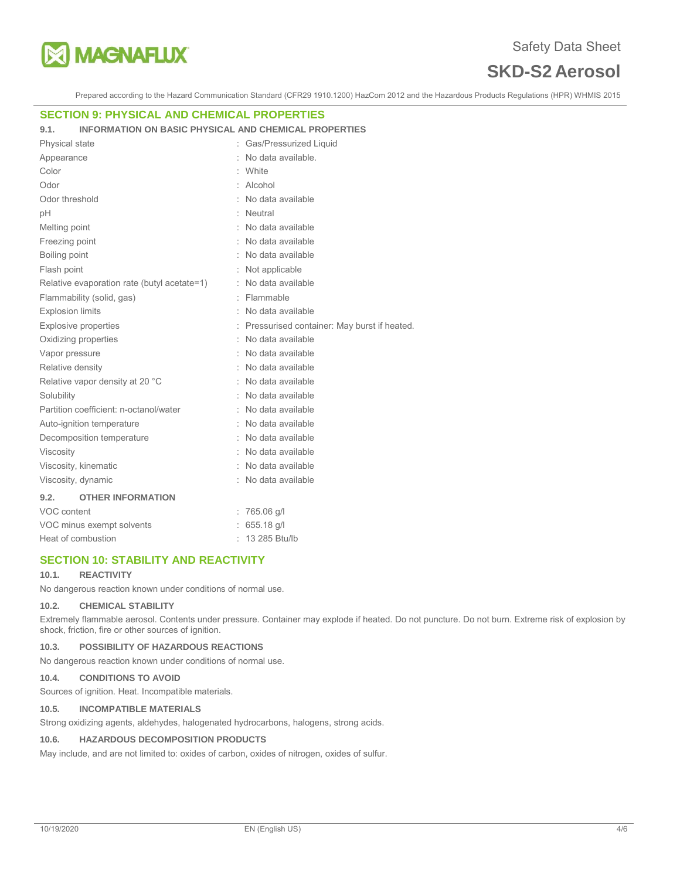

Prepared according to the Hazard Communication Standard (CFR29 1910.1200) HazCom 2012 and the Hazardous Products Regulations (HPR) WHMIS 2015

## **SECTION 9: PHYSICAL AND CHEMICAL PROPERTIES**

#### **9.1. INFORMATION ON BASIC PHYSICAL AND CHEMICAL PROPERTIES**

| <b>Physical state</b>                       | Gas/Pressurized Liquid                        |
|---------------------------------------------|-----------------------------------------------|
| Appearance                                  | No data available.                            |
| Color                                       | White                                         |
| Odor                                        | Alcohol                                       |
| Odor threshold                              | No data available                             |
| рH                                          | Neutral                                       |
| Melting point                               | No data available                             |
| Freezing point                              | No data available                             |
| Boiling point                               | : No data available                           |
| Flash point                                 | Not applicable                                |
| Relative evaporation rate (butyl acetate=1) | No data available                             |
| Flammability (solid, gas)                   | : Flammable                                   |
| <b>Explosion limits</b>                     | No data available                             |
| <b>Explosive properties</b>                 | : Pressurised container: May burst if heated. |
| Oxidizing properties                        | No data available                             |
| Vapor pressure                              | No data available                             |
| Relative density                            | No data available                             |
| Relative vapor density at 20 °C             | No data available                             |
| Solubility                                  | No data available                             |
| Partition coefficient: n-octanol/water      | No data available                             |
| Auto-ignition temperature                   | No data available                             |
| Decomposition temperature                   | No data available                             |
| Viscosity                                   | No data available                             |
| Viscosity, kinematic                        | No data available                             |
| Viscosity, dynamic                          | No data available                             |
| 9.2.<br><b>OTHER INFORMATION</b>            |                                               |
| VOC content                                 | $: 765.06$ g/l                                |
| VOC minus exempt solvents                   | 655.18 g/l                                    |
| Heat of combustion                          | 13 285 Btu/lb                                 |

## **SECTION 10: STABILITY AND REACTIVITY**

#### **10.1. REACTIVITY**

No dangerous reaction known under conditions of normal use.

#### **10.2. CHEMICAL STABILITY**

Extremely flammable aerosol. Contents under pressure. Container may explode if heated. Do not puncture. Do not burn. Extreme risk of explosion by shock, friction, fire or other sources of ignition.

#### **10.3. POSSIBILITY OF HAZARDOUS REACTIONS**

No dangerous reaction known under conditions of normal use.

## **10.4. CONDITIONS TO AVOID**

Sources of ignition. Heat. Incompatible materials.

#### **10.5. INCOMPATIBLE MATERIALS**

Strong oxidizing agents, aldehydes, halogenated hydrocarbons, halogens, strong acids.

## **10.6. HAZARDOUS DECOMPOSITION PRODUCTS**

May include, and are not limited to: oxides of carbon, oxides of nitrogen, oxides of sulfur.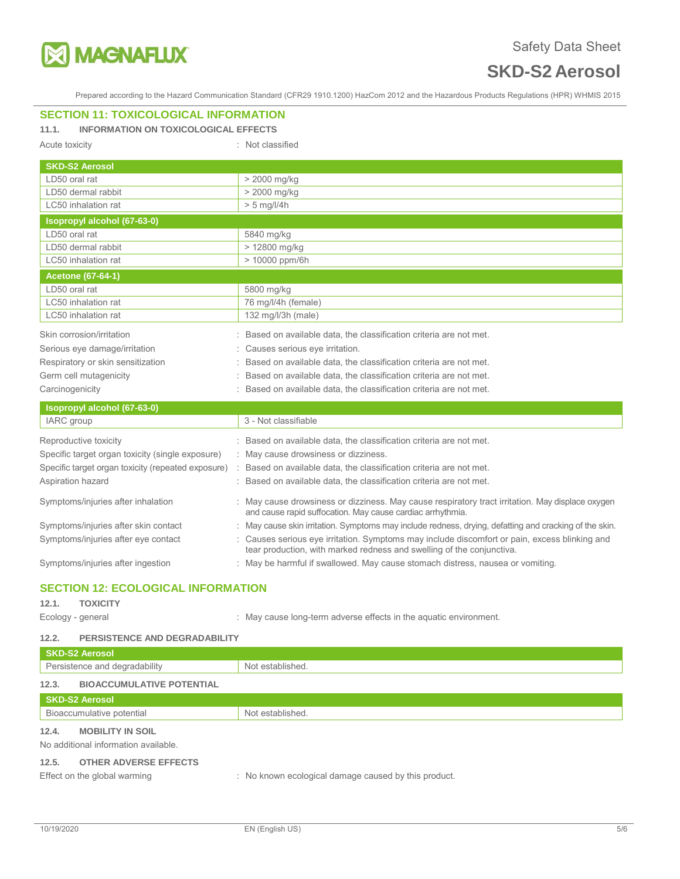

Prepared according to the Hazard Communication Standard (CFR29 1910.1200) HazCom 2012 and the Hazardous Products Regulations (HPR) WHMIS 2015

# **SECTION 11: TOXICOLOGICAL INFORMATION**

## **11.1. INFORMATION ON TOXICOLOGICAL EFFECTS**

Acute toxicity in the contract of the classified in the classified in the classified

| <b>SKD-S2 Aerosol</b>                              |                                                                                                                                                              |  |
|----------------------------------------------------|--------------------------------------------------------------------------------------------------------------------------------------------------------------|--|
| LD50 oral rat                                      | > 2000 mg/kg                                                                                                                                                 |  |
| LD50 dermal rabbit                                 | > 2000 mg/kg                                                                                                                                                 |  |
| LC50 inhalation rat                                | $> 5$ mg/l/4h                                                                                                                                                |  |
| Isopropyl alcohol (67-63-0)                        |                                                                                                                                                              |  |
| LD50 oral rat                                      | 5840 mg/kg                                                                                                                                                   |  |
| LD50 dermal rabbit                                 | > 12800 mg/kg                                                                                                                                                |  |
| LC50 inhalation rat                                | > 10000 ppm/6h                                                                                                                                               |  |
| <b>Acetone (67-64-1)</b>                           |                                                                                                                                                              |  |
| LD50 oral rat                                      | 5800 mg/kg                                                                                                                                                   |  |
| LC50 inhalation rat                                | 76 mg/l/4h (female)                                                                                                                                          |  |
| LC50 inhalation rat                                | 132 mg/l/3h (male)                                                                                                                                           |  |
| Skin corrosion/irritation                          | Based on available data, the classification criteria are not met.                                                                                            |  |
| Serious eye damage/irritation                      | Causes serious eye irritation.                                                                                                                               |  |
| Respiratory or skin sensitization                  | Based on available data, the classification criteria are not met.                                                                                            |  |
| Germ cell mutagenicity                             | Based on available data, the classification criteria are not met.                                                                                            |  |
| Carcinogenicity                                    | Based on available data, the classification criteria are not met.                                                                                            |  |
| Isopropyl alcohol (67-63-0)                        |                                                                                                                                                              |  |
| IARC group                                         | 3 - Not classifiable                                                                                                                                         |  |
| Reproductive toxicity                              | Based on available data, the classification criteria are not met.                                                                                            |  |
| Specific target organ toxicity (single exposure)   | : May cause drowsiness or dizziness.                                                                                                                         |  |
| Specific target organ toxicity (repeated exposure) | Based on available data, the classification criteria are not met.                                                                                            |  |
| Aspiration hazard                                  | Based on available data, the classification criteria are not met.                                                                                            |  |
| Symptoms/injuries after inhalation                 | May cause drowsiness or dizziness. May cause respiratory tract irritation. May displace oxygen<br>and cause rapid suffocation. May cause cardiac arrhythmia. |  |
| Symptoms/injuries after skin contact               | : May cause skin irritation. Symptoms may include redness, drying, defatting and cracking of the skin.                                                       |  |

Symptoms/injuries after eye contact : Causes serious eye irritation. Symptoms may include discomfort or pain, excess blinking and

Symptoms/injuries after ingestion : May be harmful if swallowed. May cause stomach distress, nausea or vomiting.

# **SECTION 12: ECOLOGICAL INFORMATION**

# **12.1. TOXICITY**

Ecology - general **Ecology** - general  $\cdot$  May cause long-term adverse effects in the aquatic environment.

tear production, with marked redness and swelling of the conjunctiva.

#### **12.2. PERSISTENCE AND DEGRADABILITY**

| <b>SKD-S2 Aerosol</b>                     |                                                      |
|-------------------------------------------|------------------------------------------------------|
| Persistence and degradability             | Not established.                                     |
| 12.3.<br><b>BIOACCUMULATIVE POTENTIAL</b> |                                                      |
| <b>SKD-S2 Aerosol</b>                     |                                                      |
| Bioaccumulative potential                 | Not established.                                     |
| 12.4.<br><b>MOBILITY IN SOIL</b>          |                                                      |
| No additional information available.      |                                                      |
| 12.5.<br><b>OTHER ADVERSE EFFECTS</b>     |                                                      |
| Effect on the global warming              | : No known ecological damage caused by this product. |